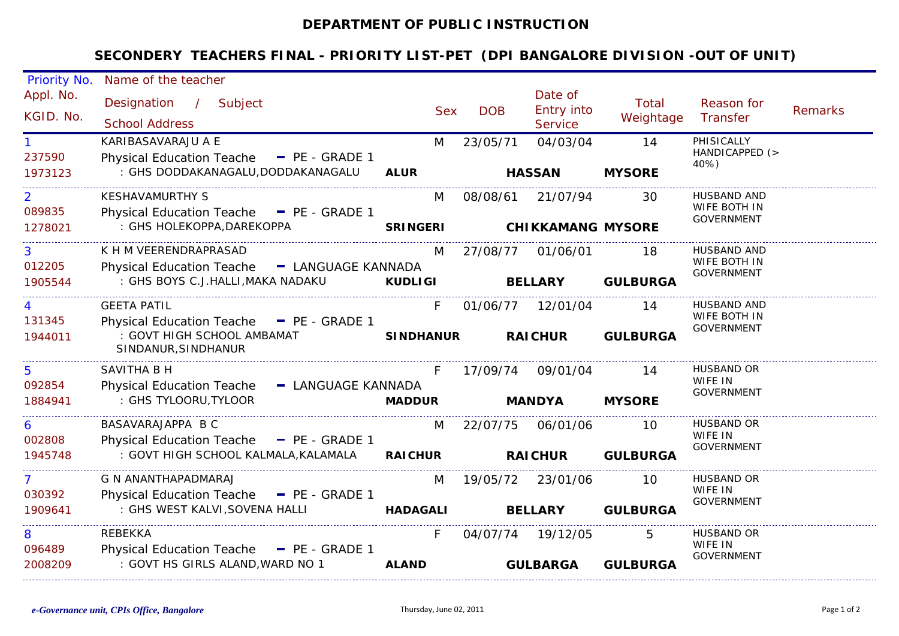## **DEPARTMENT OF PUBLIC INSTRUCTION**

## **SECONDERY TEACHERS FINAL - PRIORITY LIST-PET (DPI BANGALORE DIVISION -OUT OF UNIT)**

| Priority No.                        | Name of the teacher                                                                                                 |                        |            |                                         |                       |                                                   |                |
|-------------------------------------|---------------------------------------------------------------------------------------------------------------------|------------------------|------------|-----------------------------------------|-----------------------|---------------------------------------------------|----------------|
| Appl. No.<br>KGID. No.              | Designation / Subject<br><b>School Address</b>                                                                      | <b>Sex</b>             | <b>DOB</b> | Date of<br>Entry into<br><b>Service</b> | Total<br>Weightage    | Reason for<br>Transfer                            | <b>Remarks</b> |
| 1<br>237590<br>1973123              | KARIBASAVARAJU A E<br>Physical Education Teache - PE - GRADE 1<br>: GHS DODDAKANAGALU,DODDAKANAGALU                 | M<br><b>ALUR</b>       | 23/05/71   | 04/03/04<br><b>HASSAN</b>               | 14<br><b>MYSORE</b>   | PHISICALLY<br>HANDICAPPED (><br>40%)              |                |
| $\overline{2}$<br>089835<br>1278021 | <b>KESHAVAMURTHY S</b><br>Physical Education Teache - PE - GRADE 1<br>: GHS HOLEKOPPA, DAREKOPPA                    | M                      | 08/08/61   | 21/07/94<br>SRINGERI CHIKKAMANG MYSORE  | 30                    | HUSBAND AND<br>WIFE BOTH IN<br><b>GOVERNMENT</b>  |                |
| 3<br>012205<br>1905544              | K H M VEERENDRAPRASAD<br>Physical Education Teache - LANGUAGE KANNADA<br>: GHS BOYS C.J.HALLI,MAKA NADAKU           | M<br><b>KUDLIGI</b>    |            | 27/08/77 01/06/01<br><b>BELLARY</b>     | 18<br><b>GULBURGA</b> | HUSBAND AND<br>WIFE BOTH IN<br><b>GOVERNMENT</b>  |                |
| 131345<br>1944011                   | <b>GEETA PATIL</b><br>Physical Education Teache - PE - GRADE 1<br>: GOVT HIGH SCHOOL AMBAMAT<br>SINDANUR, SINDHANUR | F.<br><b>SINDHANUR</b> |            | 01/06/77 12/01/04<br><b>RAICHUR</b>     | 14<br><b>GULBURGA</b> | HUSBAND AND<br>WIFE BOTH IN<br><b>GOVERNMENT</b>  |                |
| 5<br>092854<br>1884941              | <b>SAVITHA B H</b><br>Physical Education Teache - LANGUAGE KANNADA<br>: GHS TYLOORU, TYLOOR                         | F.<br><b>MADDUR</b>    | 17/09/74   | 09/01/04<br><b>MANDYA</b>               | -14<br><b>MYSORE</b>  | <b>HUSBAND OR</b><br>WIFE IN<br><b>GOVERNMENT</b> |                |
| 6<br>002808<br>1945748              | BASAVARAJAPPA B C<br>Physical Education Teache - PE - GRADE 1<br>: GOVT HIGH SCHOOL KALMALA, KALAMALA               | M<br><b>RAICHUR</b>    |            | 22/07/75 06/01/06<br><b>RAICHUR</b>     | 10<br><b>GULBURGA</b> | HUSBAND OR<br>WIFE IN<br><b>GOVERNMENT</b>        |                |
| 7<br>030392<br>1909641              | <b>G N ANANTHAPADMARAJ</b><br>Physical Education Teache - PE - GRADE 1<br>: GHS WEST KALVI, SOVENA HALLI            | M<br><b>HADAGALI</b>   |            | 19/05/72 23/01/06<br><b>BELLARY</b>     | 10<br><b>GULBURGA</b> | HUSBAND OR<br>WIFE IN<br><b>GOVERNMENT</b>        |                |
| 8<br>096489<br>2008209              | REBEKKA<br>Physical Education Teache - PE - GRADE 1<br>: GOVT HS GIRLS ALAND, WARD NO 1                             | F.<br><b>ALAND</b>     |            | 04/07/74 19/12/05<br><b>GULBARGA</b>    | 5.<br><b>GULBURGA</b> | HUSBAND OR<br>WIFE IN<br><b>GOVERNMENT</b>        |                |